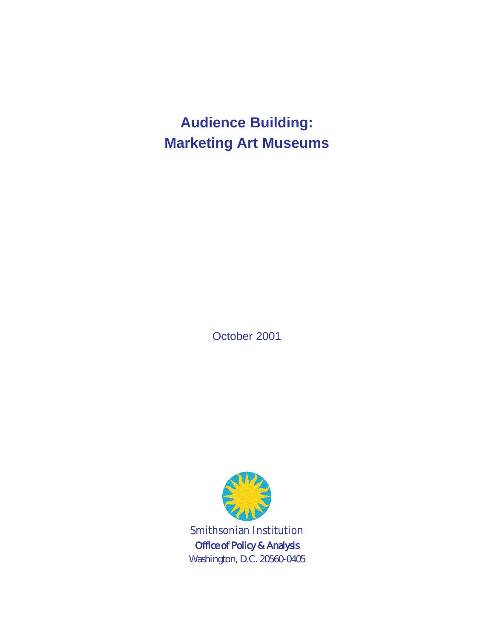**Audience Building: Marketing Art Museums**

October 2001

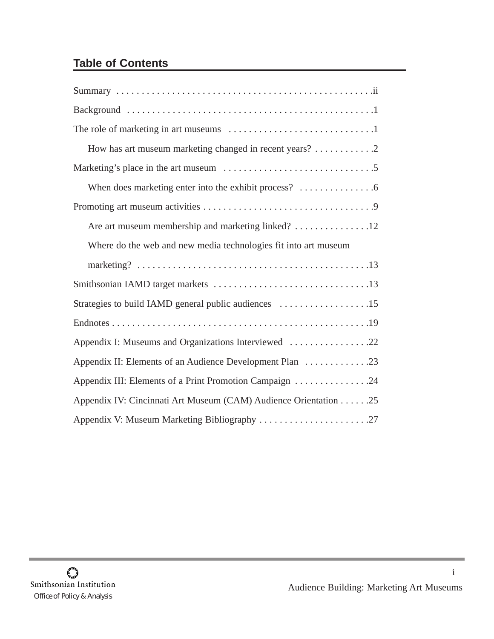# **Table of Contents**

| How has art museum marketing changed in recent years? 2          |
|------------------------------------------------------------------|
|                                                                  |
|                                                                  |
|                                                                  |
|                                                                  |
| Where do the web and new media technologies fit into art museum  |
|                                                                  |
|                                                                  |
| Strategies to build IAMD general public audiences 15             |
|                                                                  |
| Appendix I: Museums and Organizations Interviewed 22             |
| Appendix II: Elements of an Audience Development Plan 23         |
| Appendix III: Elements of a Print Promotion Campaign 24          |
| Appendix IV: Cincinnati Art Museum (CAM) Audience Orientation 25 |
| Appendix V: Museum Marketing Bibliography 27                     |

i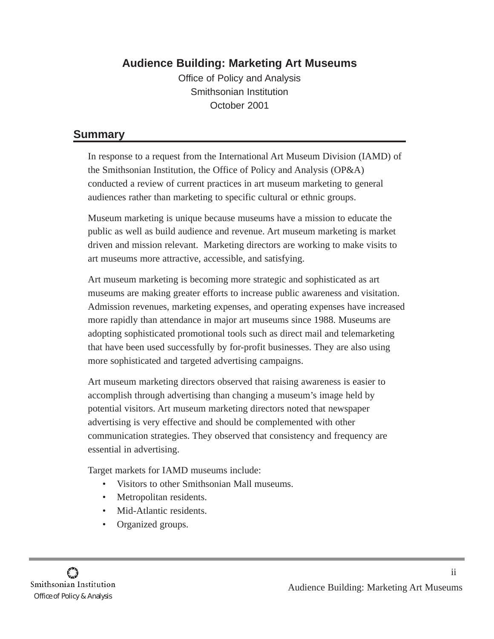## **Audience Building: Marketing Art Museums**

Office of Policy and Analysis Smithsonian Institution October 2001

### **Summary**

In response to a request from the International Art Museum Division (IAMD) of the Smithsonian Institution, the Office of Policy and Analysis (OP&A) conducted a review of current practices in art museum marketing to general audiences rather than marketing to specific cultural or ethnic groups.

Museum marketing is unique because museums have a mission to educate the public as well as build audience and revenue. Art museum marketing is market driven and mission relevant. Marketing directors are working to make visits to art museums more attractive, accessible, and satisfying.

Art museum marketing is becoming more strategic and sophisticated as art museums are making greater efforts to increase public awareness and visitation. Admission revenues, marketing expenses, and operating expenses have increased more rapidly than attendance in major art museums since 1988. Museums are adopting sophisticated promotional tools such as direct mail and telemarketing that have been used successfully by for-profit businesses. They are also using more sophisticated and targeted advertising campaigns.

Art museum marketing directors observed that raising awareness is easier to accomplish through advertising than changing a museum's image held by potential visitors. Art museum marketing directors noted that newspaper advertising is very effective and should be complemented with other communication strategies. They observed that consistency and frequency are essential in advertising.

Target markets for IAMD museums include:

- Visitors to other Smithsonian Mall museums.
- Metropolitan residents.
- Mid-Atlantic residents.
- Organized groups.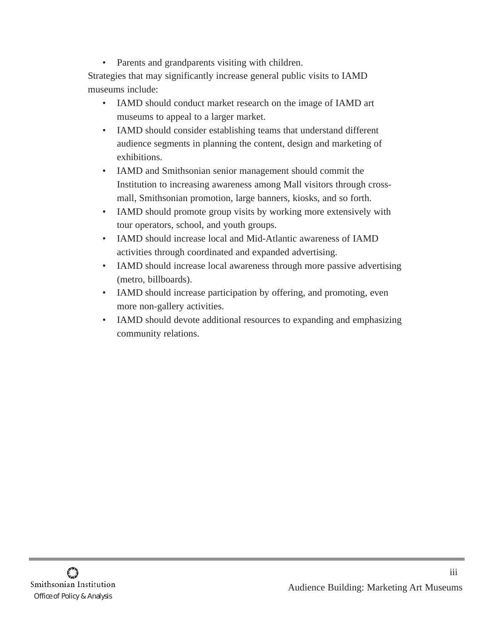• Parents and grandparents visiting with children.

Strategies that may significantly increase general public visits to IAMD museums include:

- IAMD should conduct market research on the image of IAMD art museums to appeal to a larger market.
- IAMD should consider establishing teams that understand different audience segments in planning the content, design and marketing of exhibitions.
- IAMD and Smithsonian senior management should commit the Institution to increasing awareness among Mall visitors through crossmall, Smithsonian promotion, large banners, kiosks, and so forth.
- IAMD should promote group visits by working more extensively with tour operators, school, and youth groups.
- IAMD should increase local and Mid-Atlantic awareness of IAMD activities through coordinated and expanded advertising.
- IAMD should increase local awareness through more passive advertising (metro, billboards).
- IAMD should increase participation by offering, and promoting, even more non-gallery activities.
- IAMD should devote additional resources to expanding and emphasizing community relations.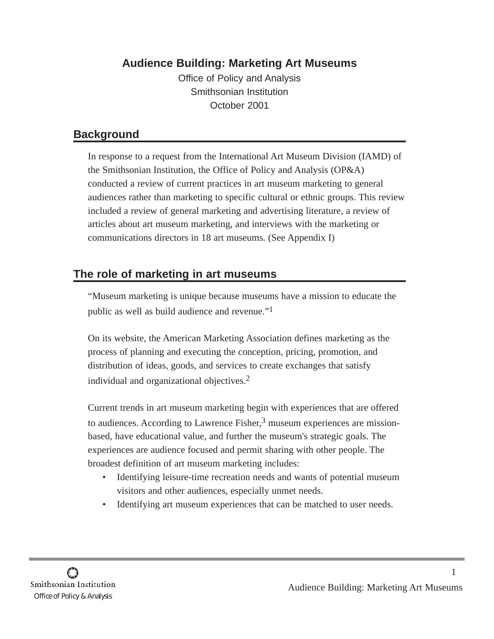## **Audience Building: Marketing Art Museums**

Office of Policy and Analysis Smithsonian Institution October 2001

## **Background**

In response to a request from the International Art Museum Division (IAMD) of the Smithsonian Institution, the Office of Policy and Analysis (OP&A) conducted a review of current practices in art museum marketing to general audiences rather than marketing to specific cultural or ethnic groups. This review included a review of general marketing and advertising literature, a review of articles about art museum marketing, and interviews with the marketing or communications directors in 18 art museums. (See Appendix I)

## **The role of marketing in art museums**

"Museum marketing is unique because museums have a mission to educate the public as well as build audience and revenue."1

On its website, the American Marketing Association defines marketing as the process of planning and executing the conception, pricing, promotion, and distribution of ideas, goods, and services to create exchanges that satisfy individual and organizational objectives.2

Current trends in art museum marketing begin with experiences that are offered to audiences. According to Lawrence Fisher, $3$  museum experiences are missionbased, have educational value, and further the museum's strategic goals. The experiences are audience focused and permit sharing with other people. The broadest definition of art museum marketing includes:

- Identifying leisure-time recreation needs and wants of potential museum visitors and other audiences, especially unmet needs.
- Identifying art museum experiences that can be matched to user needs.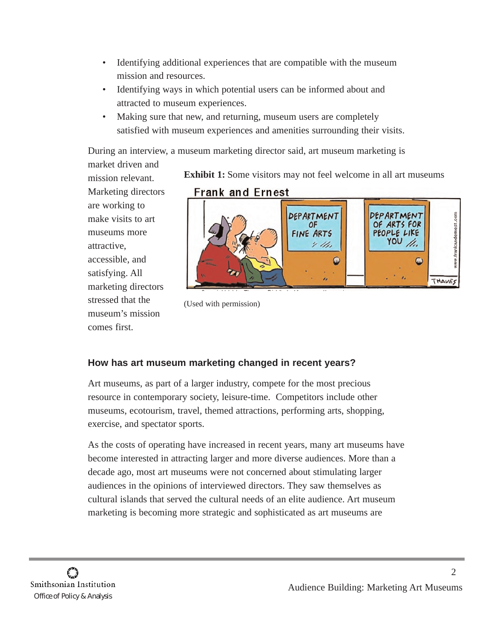- Identifying additional experiences that are compatible with the museum mission and resources.
- Identifying ways in which potential users can be informed about and attracted to museum experiences.
- Making sure that new, and returning, museum users are completely satisfied with museum experiences and amenities surrounding their visits.

During an interview, a museum marketing director said, art museum marketing is

market driven and mission relevant. Marketing directors are working to make visits to art museums more attractive, accessible, and satisfying. All marketing directors stressed that the museum's mission comes first.

**Exhibit 1:** Some visitors may not feel welcome in all art museums



<sup>(</sup>Used with permission)

### **How has art museum marketing changed in recent years?**

Art museums, as part of a larger industry, compete for the most precious resource in contemporary society, leisure-time. Competitors include other museums, ecotourism, travel, themed attractions, performing arts, shopping, exercise, and spectator sports.

As the costs of operating have increased in recent years, many art museums have become interested in attracting larger and more diverse audiences. More than a decade ago, most art museums were not concerned about stimulating larger audiences in the opinions of interviewed directors. They saw themselves as cultural islands that served the cultural needs of an elite audience. Art museum marketing is becoming more strategic and sophisticated as art museums are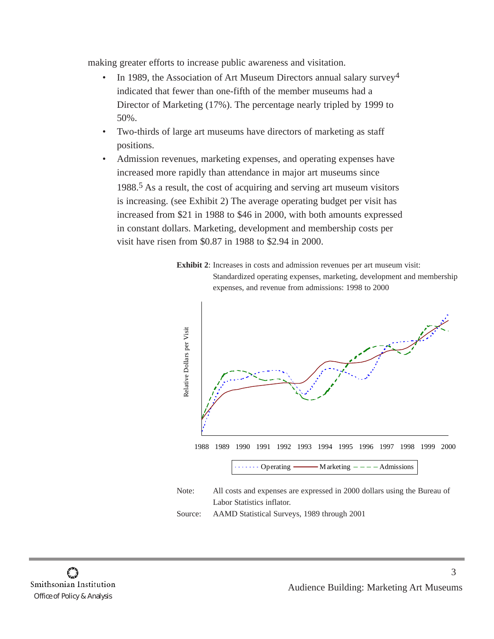making greater efforts to increase public awareness and visitation.

- In 1989, the Association of Art Museum Directors annual salary survey<sup>4</sup> indicated that fewer than one-fifth of the member museums had a Director of Marketing (17%). The percentage nearly tripled by 1999 to 50%.
- Two-thirds of large art museums have directors of marketing as staff positions.
- Admission revenues, marketing expenses, and operating expenses have increased more rapidly than attendance in major art museums since 1988.5 As a result, the cost of acquiring and serving art museum visitors is increasing. (see Exhibit 2) The average operating budget per visit has increased from \$21 in 1988 to \$46 in 2000, with both amounts expressed in constant dollars. Marketing, development and membership costs per visit have risen from \$0.87 in 1988 to \$2.94 in 2000.





Labor Statistics inflator.

Source: AAMD Statistical Surveys, 1989 through 2001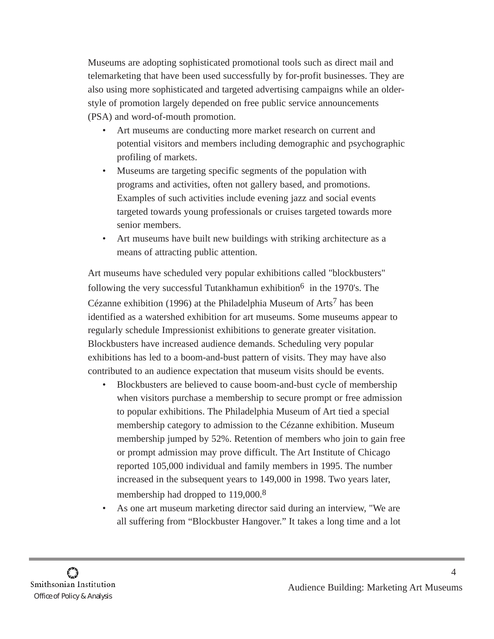Museums are adopting sophisticated promotional tools such as direct mail and telemarketing that have been used successfully by for-profit businesses. They are also using more sophisticated and targeted advertising campaigns while an olderstyle of promotion largely depended on free public service announcements (PSA) and word-of-mouth promotion.

- Art museums are conducting more market research on current and potential visitors and members including demographic and psychographic profiling of markets.
- Museums are targeting specific segments of the population with programs and activities, often not gallery based, and promotions. Examples of such activities include evening jazz and social events targeted towards young professionals or cruises targeted towards more senior members.
- Art museums have built new buildings with striking architecture as a means of attracting public attention.

Art museums have scheduled very popular exhibitions called "blockbusters" following the very successful Tutankhamun exhibition<sup>6</sup> in the 1970's. The Cézanne exhibition (1996) at the Philadelphia Museum of Arts<sup>7</sup> has been identified as a watershed exhibition for art museums. Some museums appear to regularly schedule Impressionist exhibitions to generate greater visitation. Blockbusters have increased audience demands. Scheduling very popular exhibitions has led to a boom-and-bust pattern of visits. They may have also contributed to an audience expectation that museum visits should be events.

- Blockbusters are believed to cause boom-and-bust cycle of membership when visitors purchase a membership to secure prompt or free admission to popular exhibitions. The Philadelphia Museum of Art tied a special membership category to admission to the Cézanne exhibition. Museum membership jumped by 52%. Retention of members who join to gain free or prompt admission may prove difficult. The Art Institute of Chicago reported 105,000 individual and family members in 1995. The number increased in the subsequent years to 149,000 in 1998. Two years later, membership had dropped to 119,000.<sup>8</sup>
- As one art museum marketing director said during an interview, "We are all suffering from "Blockbuster Hangover." It takes a long time and a lot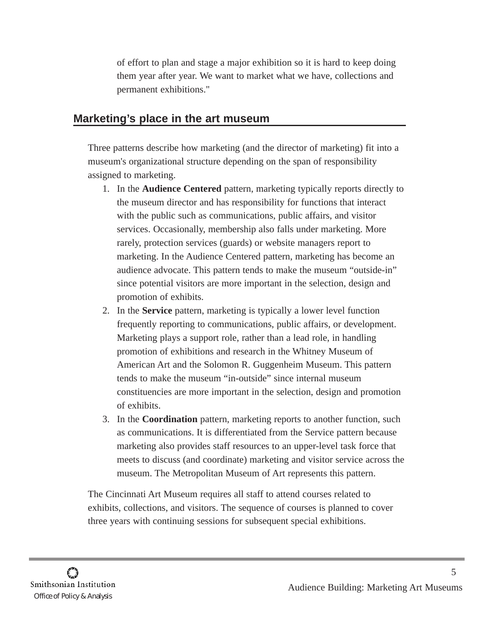of effort to plan and stage a major exhibition so it is hard to keep doing them year after year. We want to market what we have, collections and permanent exhibitions."

## **Marketing's place in the art museum**

Three patterns describe how marketing (and the director of marketing) fit into a museum's organizational structure depending on the span of responsibility assigned to marketing.

- 1. In the **Audience Centered** pattern, marketing typically reports directly to the museum director and has responsibility for functions that interact with the public such as communications, public affairs, and visitor services. Occasionally, membership also falls under marketing. More rarely, protection services (guards) or website managers report to marketing. In the Audience Centered pattern, marketing has become an audience advocate. This pattern tends to make the museum "outside-in" since potential visitors are more important in the selection, design and promotion of exhibits.
- 2. In the **Service** pattern, marketing is typically a lower level function frequently reporting to communications, public affairs, or development. Marketing plays a support role, rather than a lead role, in handling promotion of exhibitions and research in the Whitney Museum of American Art and the Solomon R. Guggenheim Museum. This pattern tends to make the museum "in-outside" since internal museum constituencies are more important in the selection, design and promotion of exhibits.
- 3. In the **Coordination** pattern, marketing reports to another function, such as communications. It is differentiated from the Service pattern because marketing also provides staff resources to an upper-level task force that meets to discuss (and coordinate) marketing and visitor service across the museum. The Metropolitan Museum of Art represents this pattern.

The Cincinnati Art Museum requires all staff to attend courses related to exhibits, collections, and visitors. The sequence of courses is planned to cover three years with continuing sessions for subsequent special exhibitions.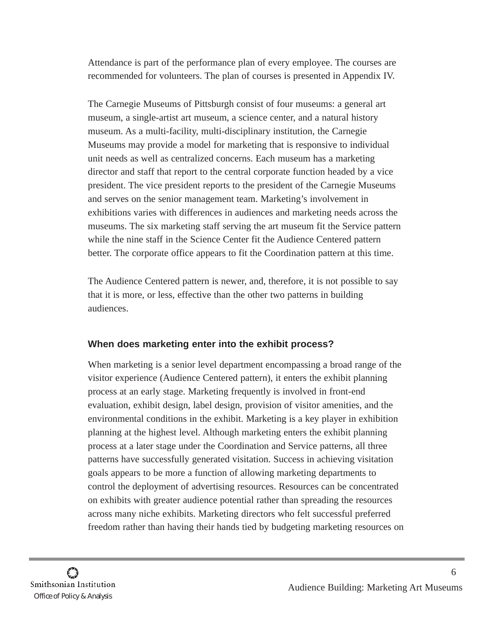Attendance is part of the performance plan of every employee. The courses are recommended for volunteers. The plan of courses is presented in Appendix IV.

The Carnegie Museums of Pittsburgh consist of four museums: a general art museum, a single-artist art museum, a science center, and a natural history museum. As a multi-facility, multi-disciplinary institution, the Carnegie Museums may provide a model for marketing that is responsive to individual unit needs as well as centralized concerns. Each museum has a marketing director and staff that report to the central corporate function headed by a vice president. The vice president reports to the president of the Carnegie Museums and serves on the senior management team. Marketing's involvement in exhibitions varies with differences in audiences and marketing needs across the museums. The six marketing staff serving the art museum fit the Service pattern while the nine staff in the Science Center fit the Audience Centered pattern better. The corporate office appears to fit the Coordination pattern at this time.

The Audience Centered pattern is newer, and, therefore, it is not possible to say that it is more, or less, effective than the other two patterns in building audiences.

#### **When does marketing enter into the exhibit process?**

When marketing is a senior level department encompassing a broad range of the visitor experience (Audience Centered pattern), it enters the exhibit planning process at an early stage. Marketing frequently is involved in front-end evaluation, exhibit design, label design, provision of visitor amenities, and the environmental conditions in the exhibit. Marketing is a key player in exhibition planning at the highest level. Although marketing enters the exhibit planning process at a later stage under the Coordination and Service patterns, all three patterns have successfully generated visitation. Success in achieving visitation goals appears to be more a function of allowing marketing departments to control the deployment of advertising resources. Resources can be concentrated on exhibits with greater audience potential rather than spreading the resources across many niche exhibits. Marketing directors who felt successful preferred freedom rather than having their hands tied by budgeting marketing resources on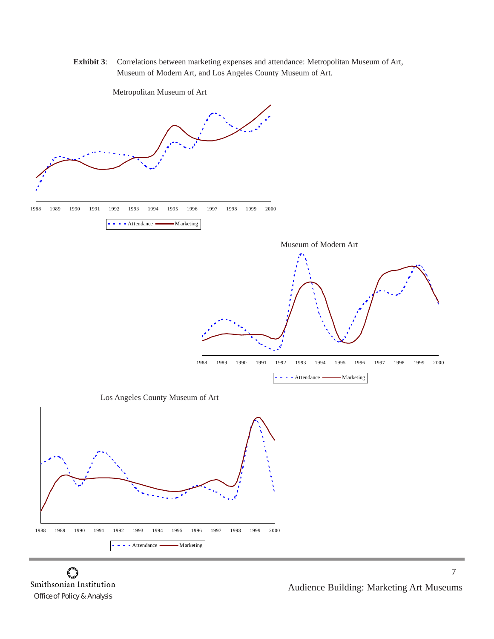**Exhibit 3**: Correlations between marketing expenses and attendance: Metropolitan Museum of Art, Museum of Modern Art, and Los Angeles County Museum of Art.

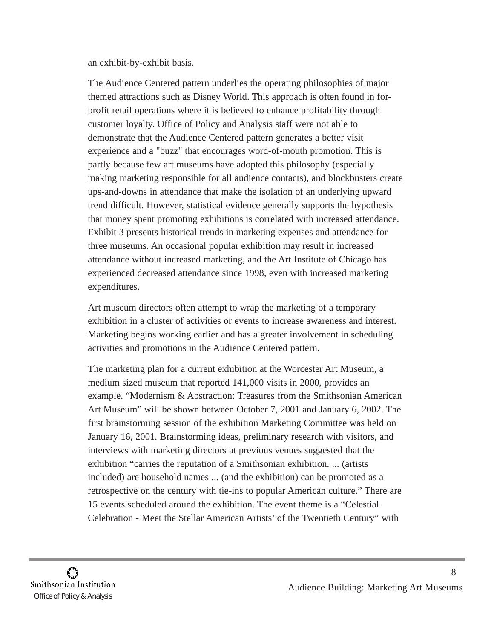an exhibit-by-exhibit basis.

The Audience Centered pattern underlies the operating philosophies of major themed attractions such as Disney World. This approach is often found in forprofit retail operations where it is believed to enhance profitability through customer loyalty. Office of Policy and Analysis staff were not able to demonstrate that the Audience Centered pattern generates a better visit experience and a "buzz" that encourages word-of-mouth promotion. This is partly because few art museums have adopted this philosophy (especially making marketing responsible for all audience contacts), and blockbusters create ups-and-downs in attendance that make the isolation of an underlying upward trend difficult. However, statistical evidence generally supports the hypothesis that money spent promoting exhibitions is correlated with increased attendance. Exhibit 3 presents historical trends in marketing expenses and attendance for three museums. An occasional popular exhibition may result in increased attendance without increased marketing, and the Art Institute of Chicago has experienced decreased attendance since 1998, even with increased marketing expenditures.

Art museum directors often attempt to wrap the marketing of a temporary exhibition in a cluster of activities or events to increase awareness and interest. Marketing begins working earlier and has a greater involvement in scheduling activities and promotions in the Audience Centered pattern.

The marketing plan for a current exhibition at the Worcester Art Museum, a medium sized museum that reported 141,000 visits in 2000, provides an example. "Modernism & Abstraction: Treasures from the Smithsonian American Art Museum" will be shown between October 7, 2001 and January 6, 2002. The first brainstorming session of the exhibition Marketing Committee was held on January 16, 2001. Brainstorming ideas, preliminary research with visitors, and interviews with marketing directors at previous venues suggested that the exhibition "carries the reputation of a Smithsonian exhibition. ... (artists included) are household names ... (and the exhibition) can be promoted as a retrospective on the century with tie-ins to popular American culture." There are 15 events scheduled around the exhibition. The event theme is a "Celestial Celebration - Meet the Stellar American Artists' of the Twentieth Century" with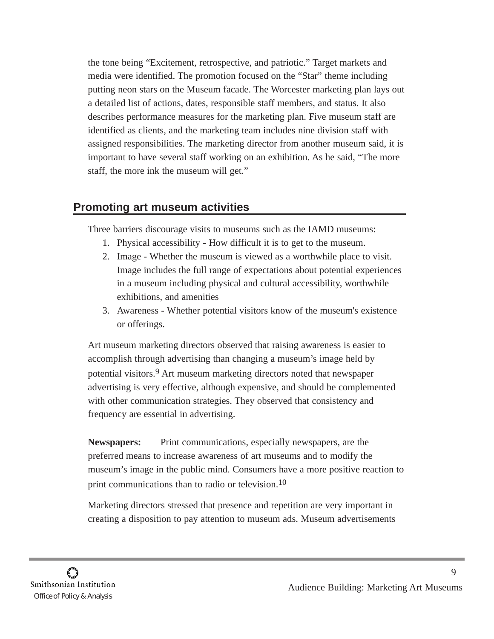the tone being "Excitement, retrospective, and patriotic." Target markets and media were identified. The promotion focused on the "Star" theme including putting neon stars on the Museum facade. The Worcester marketing plan lays out a detailed list of actions, dates, responsible staff members, and status. It also describes performance measures for the marketing plan. Five museum staff are identified as clients, and the marketing team includes nine division staff with assigned responsibilities. The marketing director from another museum said, it is important to have several staff working on an exhibition. As he said, "The more staff, the more ink the museum will get."

## **Promoting art museum activities**

Three barriers discourage visits to museums such as the IAMD museums:

- 1. Physical accessibility How difficult it is to get to the museum.
- 2. Image Whether the museum is viewed as a worthwhile place to visit. Image includes the full range of expectations about potential experiences in a museum including physical and cultural accessibility, worthwhile exhibitions, and amenities
- 3. Awareness Whether potential visitors know of the museum's existence or offerings.

Art museum marketing directors observed that raising awareness is easier to accomplish through advertising than changing a museum's image held by potential visitors.9 Art museum marketing directors noted that newspaper advertising is very effective, although expensive, and should be complemented with other communication strategies. They observed that consistency and frequency are essential in advertising.

**Newspapers:** Print communications, especially newspapers, are the preferred means to increase awareness of art museums and to modify the museum's image in the public mind. Consumers have a more positive reaction to print communications than to radio or television.<sup>10</sup>

Marketing directors stressed that presence and repetition are very important in creating a disposition to pay attention to museum ads. Museum advertisements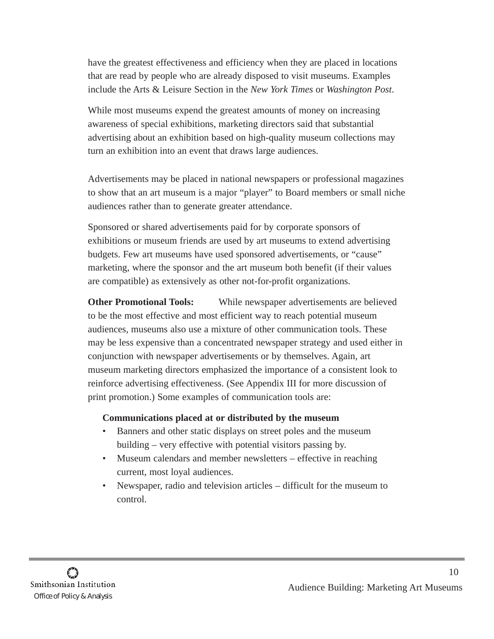have the greatest effectiveness and efficiency when they are placed in locations that are read by people who are already disposed to visit museums. Examples include the Arts & Leisure Section in the *New York Times* or *Washington Post*.

While most museums expend the greatest amounts of money on increasing awareness of special exhibitions, marketing directors said that substantial advertising about an exhibition based on high-quality museum collections may turn an exhibition into an event that draws large audiences.

Advertisements may be placed in national newspapers or professional magazines to show that an art museum is a major "player" to Board members or small niche audiences rather than to generate greater attendance.

Sponsored or shared advertisements paid for by corporate sponsors of exhibitions or museum friends are used by art museums to extend advertising budgets. Few art museums have used sponsored advertisements, or "cause" marketing, where the sponsor and the art museum both benefit (if their values are compatible) as extensively as other not-for-profit organizations.

**Other Promotional Tools:** While newspaper advertisements are believed to be the most effective and most efficient way to reach potential museum audiences, museums also use a mixture of other communication tools. These may be less expensive than a concentrated newspaper strategy and used either in conjunction with newspaper advertisements or by themselves. Again, art museum marketing directors emphasized the importance of a consistent look to reinforce advertising effectiveness. (See Appendix III for more discussion of print promotion.) Some examples of communication tools are:

#### **Communications placed at or distributed by the museum**

- Banners and other static displays on street poles and the museum building – very effective with potential visitors passing by.
- Museum calendars and member newsletters effective in reaching current, most loyal audiences.
- Newspaper, radio and television articles difficult for the museum to control.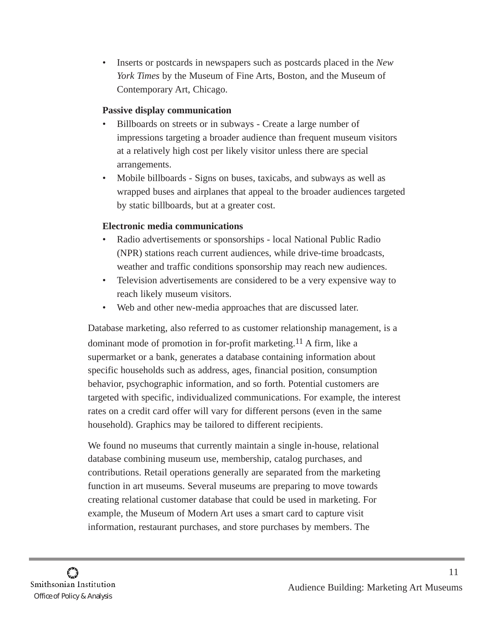• Inserts or postcards in newspapers such as postcards placed in the *New York Times* by the Museum of Fine Arts, Boston, and the Museum of Contemporary Art, Chicago.

#### **Passive display communication**

- Billboards on streets or in subways Create a large number of impressions targeting a broader audience than frequent museum visitors at a relatively high cost per likely visitor unless there are special arrangements.
- Mobile billboards Signs on buses, taxicabs, and subways as well as wrapped buses and airplanes that appeal to the broader audiences targeted by static billboards, but at a greater cost.

#### **Electronic media communications**

- Radio advertisements or sponsorships local National Public Radio (NPR) stations reach current audiences, while drive-time broadcasts, weather and traffic conditions sponsorship may reach new audiences.
- Television advertisements are considered to be a very expensive way to reach likely museum visitors.
- Web and other new-media approaches that are discussed later.

Database marketing, also referred to as customer relationship management, is a dominant mode of promotion in for-profit marketing.<sup>11</sup> A firm, like a supermarket or a bank, generates a database containing information about specific households such as address, ages, financial position, consumption behavior, psychographic information, and so forth. Potential customers are targeted with specific, individualized communications. For example, the interest rates on a credit card offer will vary for different persons (even in the same household). Graphics may be tailored to different recipients.

We found no museums that currently maintain a single in-house, relational database combining museum use, membership, catalog purchases, and contributions. Retail operations generally are separated from the marketing function in art museums. Several museums are preparing to move towards creating relational customer database that could be used in marketing. For example, the Museum of Modern Art uses a smart card to capture visit information, restaurant purchases, and store purchases by members. The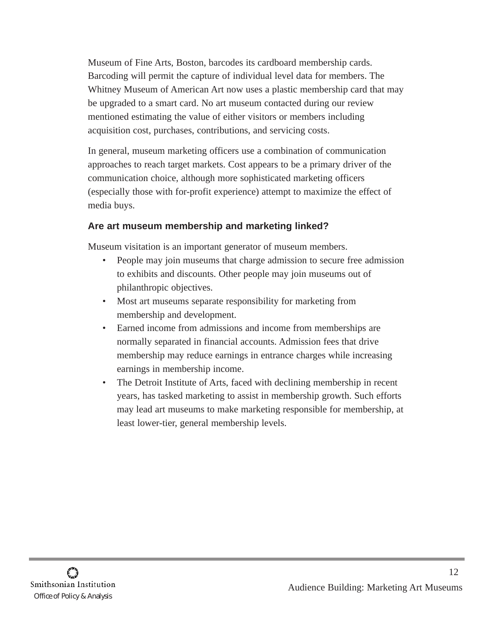Museum of Fine Arts, Boston, barcodes its cardboard membership cards. Barcoding will permit the capture of individual level data for members. The Whitney Museum of American Art now uses a plastic membership card that may be upgraded to a smart card. No art museum contacted during our review mentioned estimating the value of either visitors or members including acquisition cost, purchases, contributions, and servicing costs.

In general, museum marketing officers use a combination of communication approaches to reach target markets. Cost appears to be a primary driver of the communication choice, although more sophisticated marketing officers (especially those with for-profit experience) attempt to maximize the effect of media buys.

#### **Are art museum membership and marketing linked?**

Museum visitation is an important generator of museum members.

- People may join museums that charge admission to secure free admission to exhibits and discounts. Other people may join museums out of philanthropic objectives.
- Most art museums separate responsibility for marketing from membership and development.
- Earned income from admissions and income from memberships are normally separated in financial accounts. Admission fees that drive membership may reduce earnings in entrance charges while increasing earnings in membership income.
- The Detroit Institute of Arts, faced with declining membership in recent years, has tasked marketing to assist in membership growth. Such efforts may lead art museums to make marketing responsible for membership, at least lower-tier, general membership levels.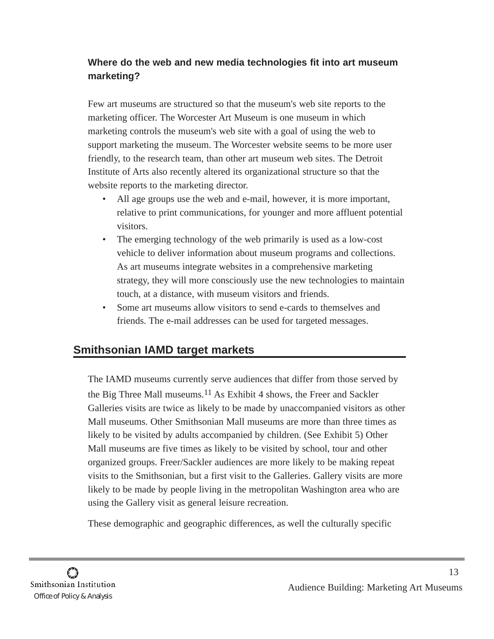## **Where do the web and new media technologies fit into art museum marketing?**

Few art museums are structured so that the museum's web site reports to the marketing officer. The Worcester Art Museum is one museum in which marketing controls the museum's web site with a goal of using the web to support marketing the museum. The Worcester website seems to be more user friendly, to the research team, than other art museum web sites. The Detroit Institute of Arts also recently altered its organizational structure so that the website reports to the marketing director.

- All age groups use the web and e-mail, however, it is more important, relative to print communications, for younger and more affluent potential visitors.
- The emerging technology of the web primarily is used as a low-cost vehicle to deliver information about museum programs and collections. As art museums integrate websites in a comprehensive marketing strategy, they will more consciously use the new technologies to maintain touch, at a distance, with museum visitors and friends.
- Some art museums allow visitors to send e-cards to themselves and friends. The e-mail addresses can be used for targeted messages.

## **Smithsonian IAMD target markets**

The IAMD museums currently serve audiences that differ from those served by the Big Three Mall museums.<sup>11</sup> As Exhibit 4 shows, the Freer and Sackler Galleries visits are twice as likely to be made by unaccompanied visitors as other Mall museums. Other Smithsonian Mall museums are more than three times as likely to be visited by adults accompanied by children. (See Exhibit 5) Other Mall museums are five times as likely to be visited by school, tour and other organized groups. Freer/Sackler audiences are more likely to be making repeat visits to the Smithsonian, but a first visit to the Galleries. Gallery visits are more likely to be made by people living in the metropolitan Washington area who are using the Gallery visit as general leisure recreation.

These demographic and geographic differences, as well the culturally specific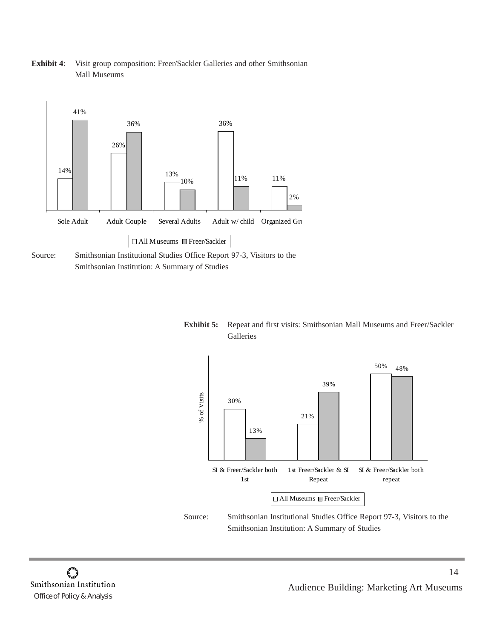

**Exhibit 4**: Visit group composition: Freer/Sackler Galleries and other Smithsonian Mall Museums







Source: Smithsonian Institutional Studies Office Report 97-3, Visitors to the Smithsonian Institution: A Summary of Studies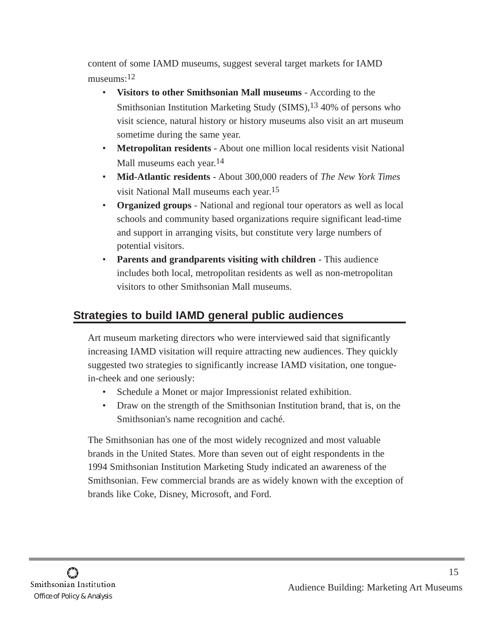content of some IAMD museums, suggest several target markets for IAMD museums:12

- **Visitors to other Smithsonian Mall museums** According to the Smithsonian Institution Marketing Study (SIMS), <sup>13</sup> 40% of persons who visit science, natural history or history museums also visit an art museum sometime during the same year.
- **Metropolitan residents** About one million local residents visit National Mall museums each year.<sup>14</sup>
- **Mid-Atlantic residents** About 300,000 readers of *The New York Times* visit National Mall museums each year.15
- **Organized groups** National and regional tour operators as well as local schools and community based organizations require significant lead-time and support in arranging visits, but constitute very large numbers of potential visitors.
- **Parents and grandparents visiting with children** This audience includes both local, metropolitan residents as well as non-metropolitan visitors to other Smithsonian Mall museums.

# **Strategies to build IAMD general public audiences**

Art museum marketing directors who were interviewed said that significantly increasing IAMD visitation will require attracting new audiences. They quickly suggested two strategies to significantly increase IAMD visitation, one tonguein-cheek and one seriously:

- Schedule a Monet or major Impressionist related exhibition.
- Draw on the strength of the Smithsonian Institution brand, that is, on the Smithsonian's name recognition and caché.

The Smithsonian has one of the most widely recognized and most valuable brands in the United States. More than seven out of eight respondents in the 1994 Smithsonian Institution Marketing Study indicated an awareness of the Smithsonian. Few commercial brands are as widely known with the exception of brands like Coke, Disney, Microsoft, and Ford.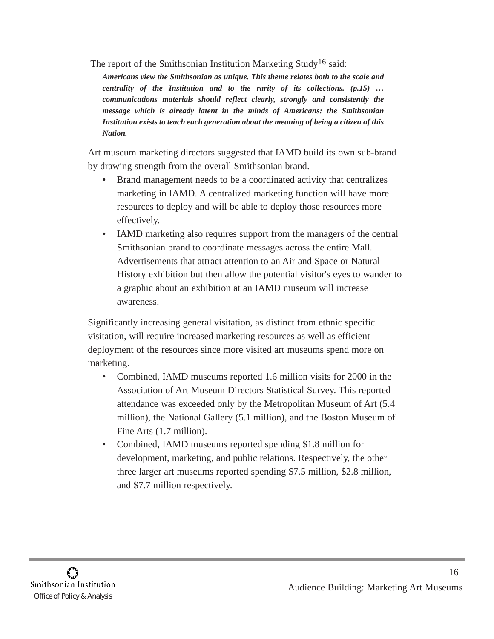The report of the Smithsonian Institution Marketing Study<sup>16</sup> said:

*Americans view the Smithsonian as unique. This theme relates both to the scale and centrality of the Institution and to the rarity of its collections. (p.15) … communications materials should reflect clearly, strongly and consistently the message which is already latent in the minds of Americans: the Smithsonian Institution exists to teach each generation about the meaning of being a citizen of this Nation.*

Art museum marketing directors suggested that IAMD build its own sub-brand by drawing strength from the overall Smithsonian brand.

- Brand management needs to be a coordinated activity that centralizes marketing in IAMD. A centralized marketing function will have more resources to deploy and will be able to deploy those resources more effectively.
- IAMD marketing also requires support from the managers of the central Smithsonian brand to coordinate messages across the entire Mall. Advertisements that attract attention to an Air and Space or Natural History exhibition but then allow the potential visitor's eyes to wander to a graphic about an exhibition at an IAMD museum will increase awareness.

Significantly increasing general visitation, as distinct from ethnic specific visitation, will require increased marketing resources as well as efficient deployment of the resources since more visited art museums spend more on marketing.

- Combined, IAMD museums reported 1.6 million visits for 2000 in the Association of Art Museum Directors Statistical Survey. This reported attendance was exceeded only by the Metropolitan Museum of Art (5.4 million), the National Gallery (5.1 million), and the Boston Museum of Fine Arts (1.7 million).
- Combined, IAMD museums reported spending \$1.8 million for development, marketing, and public relations. Respectively, the other three larger art museums reported spending \$7.5 million, \$2.8 million, and \$7.7 million respectively.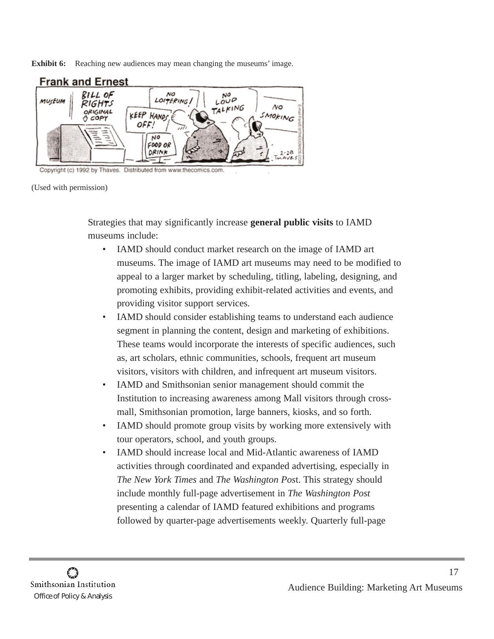**Exhibit 6:** Reaching new audiences may mean changing the museums' image.



Copyright (c) 1992 by Thaves. Distributed from www.thecomics.com

(Used with permission)

Strategies that may significantly increase **general public visits** to IAMD museums include:

- IAMD should conduct market research on the image of IAMD art museums. The image of IAMD art museums may need to be modified to appeal to a larger market by scheduling, titling, labeling, designing, and promoting exhibits, providing exhibit-related activities and events, and providing visitor support services.
- IAMD should consider establishing teams to understand each audience segment in planning the content, design and marketing of exhibitions. These teams would incorporate the interests of specific audiences, such as, art scholars, ethnic communities, schools, frequent art museum visitors, visitors with children, and infrequent art museum visitors.
- IAMD and Smithsonian senior management should commit the Institution to increasing awareness among Mall visitors through crossmall, Smithsonian promotion, large banners, kiosks, and so forth.
- IAMD should promote group visits by working more extensively with tour operators, school, and youth groups.
- IAMD should increase local and Mid-Atlantic awareness of IAMD activities through coordinated and expanded advertising, especially in *The New York Times* and *The Washington Pos*t. This strategy should include monthly full-page advertisement in *The Washington Post* presenting a calendar of IAMD featured exhibitions and programs followed by quarter-page advertisements weekly. Quarterly full-page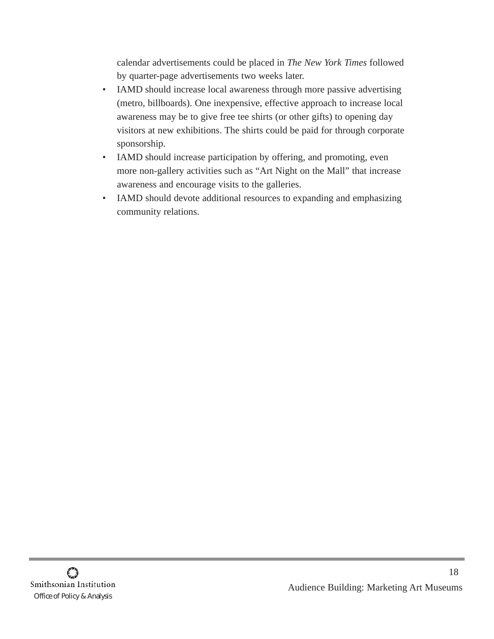calendar advertisements could be placed in *The New York Times* followed by quarter-page advertisements two weeks later.

- IAMD should increase local awareness through more passive advertising (metro, billboards). One inexpensive, effective approach to increase local awareness may be to give free tee shirts (or other gifts) to opening day visitors at new exhibitions. The shirts could be paid for through corporate sponsorship.
- IAMD should increase participation by offering, and promoting, even more non-gallery activities such as "Art Night on the Mall" that increase awareness and encourage visits to the galleries.
- IAMD should devote additional resources to expanding and emphasizing community relations.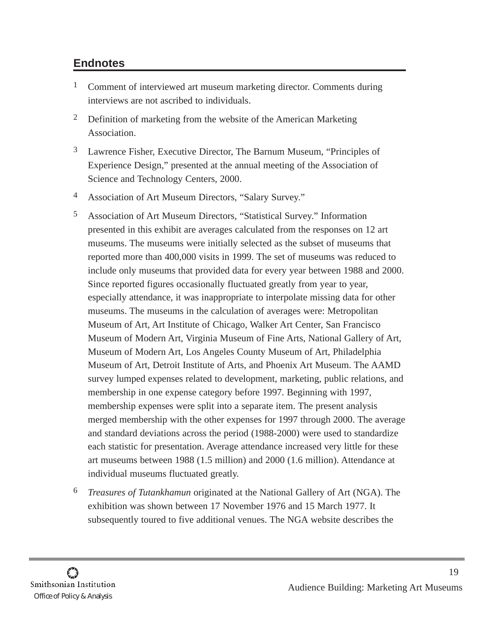## **Endnotes**

- <sup>1</sup> Comment of interviewed art museum marketing director. Comments during interviews are not ascribed to individuals.
- <sup>2</sup> Definition of marketing from the website of the American Marketing Association.
- 3 Lawrence Fisher, Executive Director, The Barnum Museum, "Principles of Experience Design," presented at the annual meeting of the Association of Science and Technology Centers, 2000.
- 4 Association of Art Museum Directors, "Salary Survey."
- 5 Association of Art Museum Directors, "Statistical Survey." Information presented in this exhibit are averages calculated from the responses on 12 art museums. The museums were initially selected as the subset of museums that reported more than 400,000 visits in 1999. The set of museums was reduced to include only museums that provided data for every year between 1988 and 2000. Since reported figures occasionally fluctuated greatly from year to year, especially attendance, it was inappropriate to interpolate missing data for other museums. The museums in the calculation of averages were: Metropolitan Museum of Art, Art Institute of Chicago, Walker Art Center, San Francisco Museum of Modern Art, Virginia Museum of Fine Arts, National Gallery of Art, Museum of Modern Art, Los Angeles County Museum of Art, Philadelphia Museum of Art, Detroit Institute of Arts, and Phoenix Art Museum. The AAMD survey lumped expenses related to development, marketing, public relations, and membership in one expense category before 1997. Beginning with 1997, membership expenses were split into a separate item. The present analysis merged membership with the other expenses for 1997 through 2000. The average and standard deviations across the period (1988-2000) were used to standardize each statistic for presentation. Average attendance increased very little for these art museums between 1988 (1.5 million) and 2000 (1.6 million). Attendance at individual museums fluctuated greatly.
- 6 *Treasures of Tutankhamun* originated at the National Gallery of Art (NGA). The exhibition was shown between 17 November 1976 and 15 March 1977. It subsequently toured to five additional venues. The NGA website describes the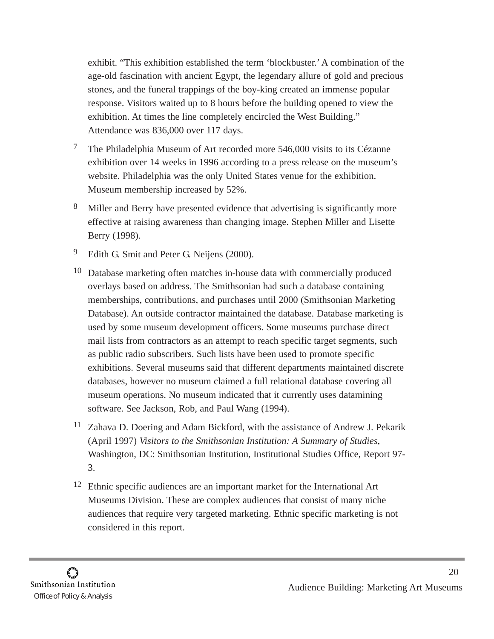exhibit. "This exhibition established the term 'blockbuster.' A combination of the age-old fascination with ancient Egypt, the legendary allure of gold and precious stones, and the funeral trappings of the boy-king created an immense popular response. Visitors waited up to 8 hours before the building opened to view the exhibition. At times the line completely encircled the West Building." Attendance was 836,000 over 117 days.

- 7 The Philadelphia Museum of Art recorded more 546,000 visits to its Cézanne exhibition over 14 weeks in 1996 according to a press release on the museum's website. Philadelphia was the only United States venue for the exhibition. Museum membership increased by 52%.
- 8 Miller and Berry have presented evidence that advertising is significantly more effective at raising awareness than changing image. Stephen Miller and Lisette Berry (1998).
- 9 Edith G. Smit and Peter G. Neijens (2000).
- 10 Database marketing often matches in-house data with commercially produced overlays based on address. The Smithsonian had such a database containing memberships, contributions, and purchases until 2000 (Smithsonian Marketing Database). An outside contractor maintained the database. Database marketing is used by some museum development officers. Some museums purchase direct mail lists from contractors as an attempt to reach specific target segments, such as public radio subscribers. Such lists have been used to promote specific exhibitions. Several museums said that different departments maintained discrete databases, however no museum claimed a full relational database covering all museum operations. No museum indicated that it currently uses datamining software. See Jackson, Rob, and Paul Wang (1994).
- 11 Zahava D. Doering and Adam Bickford, with the assistance of Andrew J. Pekarik (April 1997) *Visitors to the Smithsonian Institution: A Summary of Studies*, Washington, DC: Smithsonian Institution, Institutional Studies Office, Report 97- 3.
- <sup>12</sup> Ethnic specific audiences are an important market for the International Art Museums Division. These are complex audiences that consist of many niche audiences that require very targeted marketing. Ethnic specific marketing is not considered in this report.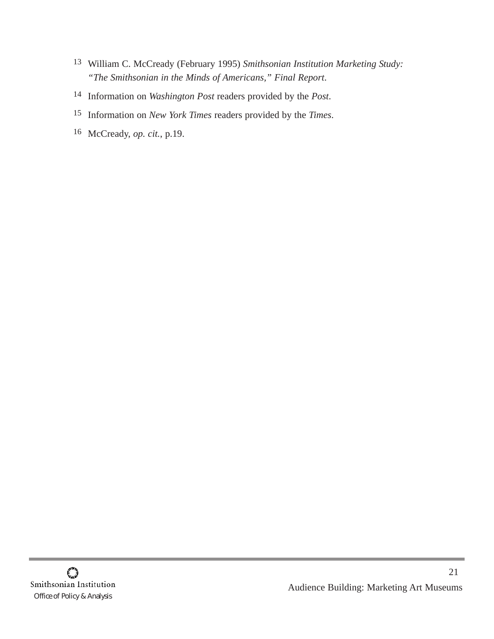- 13 William C. McCready (February 1995) *Smithsonian Institution Marketing Study: "The Smithsonian in the Minds of Americans," Final Report*.
- 14 Information on *Washington Post* readers provided by the *Post*.
- 15 Information on *New York Times* readers provided by the *Times*.
- 16 McCready, *op. cit.*, p.19.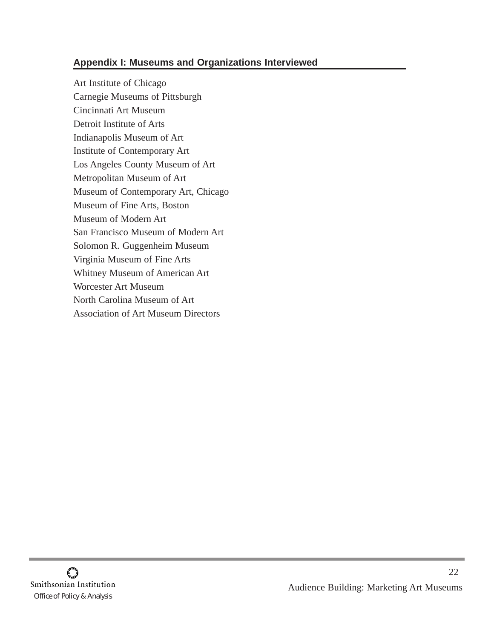### **Appendix I: Museums and Organizations Interviewed**

Art Institute of Chicago Carnegie Museums of Pittsburgh Cincinnati Art Museum Detroit Institute of Arts Indianapolis Museum of Art Institute of Contemporary Art Los Angeles County Museum of Art Metropolitan Museum of Art Museum of Contemporary Art, Chicago Museum of Fine Arts, Boston Museum of Modern Art San Francisco Museum of Modern Art Solomon R. Guggenheim Museum Virginia Museum of Fine Arts Whitney Museum of American Art Worcester Art Museum North Carolina Museum of Art Association of Art Museum Directors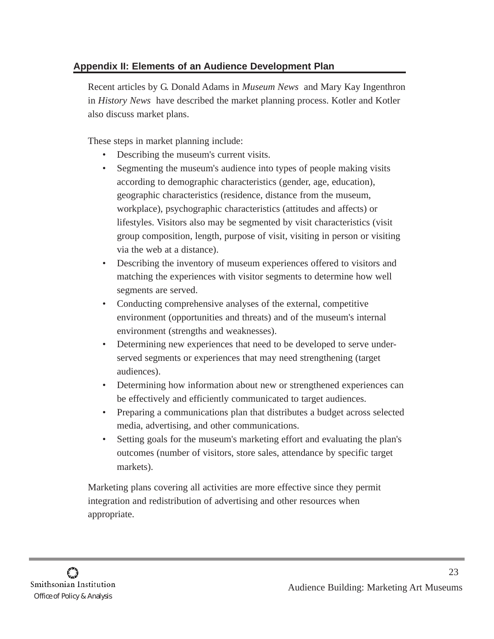## **Appendix II: Elements of an Audience Development Plan**

Recent articles by G. Donald Adams in *Museum News* and Mary Kay Ingenthron in *History News* have described the market planning process. Kotler and Kotler also discuss market plans.

These steps in market planning include:

- Describing the museum's current visits.
- Segmenting the museum's audience into types of people making visits according to demographic characteristics (gender, age, education), geographic characteristics (residence, distance from the museum, workplace), psychographic characteristics (attitudes and affects) or lifestyles. Visitors also may be segmented by visit characteristics (visit group composition, length, purpose of visit, visiting in person or visiting via the web at a distance).
- Describing the inventory of museum experiences offered to visitors and matching the experiences with visitor segments to determine how well segments are served.
- Conducting comprehensive analyses of the external, competitive environment (opportunities and threats) and of the museum's internal environment (strengths and weaknesses).
- Determining new experiences that need to be developed to serve underserved segments or experiences that may need strengthening (target audiences).
- Determining how information about new or strengthened experiences can be effectively and efficiently communicated to target audiences.
- Preparing a communications plan that distributes a budget across selected media, advertising, and other communications.
- Setting goals for the museum's marketing effort and evaluating the plan's outcomes (number of visitors, store sales, attendance by specific target markets).

Marketing plans covering all activities are more effective since they permit integration and redistribution of advertising and other resources when appropriate.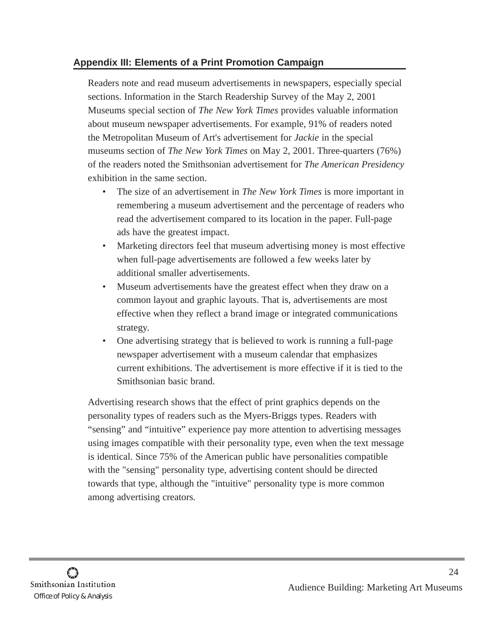### **Appendix III: Elements of a Print Promotion Campaign**

Readers note and read museum advertisements in newspapers, especially special sections. Information in the Starch Readership Survey of the May 2, 2001 Museums special section of *The New York Times* provides valuable information about museum newspaper advertisements. For example, 91% of readers noted the Metropolitan Museum of Art's advertisement for *Jackie* in the special museums section of *The New York Times* on May 2, 2001. Three-quarters (76%) of the readers noted the Smithsonian advertisement for *The American Presidency* exhibition in the same section.

- The size of an advertisement in *The New York Times* is more important in remembering a museum advertisement and the percentage of readers who read the advertisement compared to its location in the paper. Full-page ads have the greatest impact.
- Marketing directors feel that museum advertising money is most effective when full-page advertisements are followed a few weeks later by additional smaller advertisements.
- Museum advertisements have the greatest effect when they draw on a common layout and graphic layouts. That is, advertisements are most effective when they reflect a brand image or integrated communications strategy.
- One advertising strategy that is believed to work is running a full-page newspaper advertisement with a museum calendar that emphasizes current exhibitions. The advertisement is more effective if it is tied to the Smithsonian basic brand.

Advertising research shows that the effect of print graphics depends on the personality types of readers such as the Myers-Briggs types. Readers with "sensing" and "intuitive" experience pay more attention to advertising messages using images compatible with their personality type, even when the text message is identical. Since 75% of the American public have personalities compatible with the "sensing" personality type, advertising content should be directed towards that type, although the "intuitive" personality type is more common among advertising creators.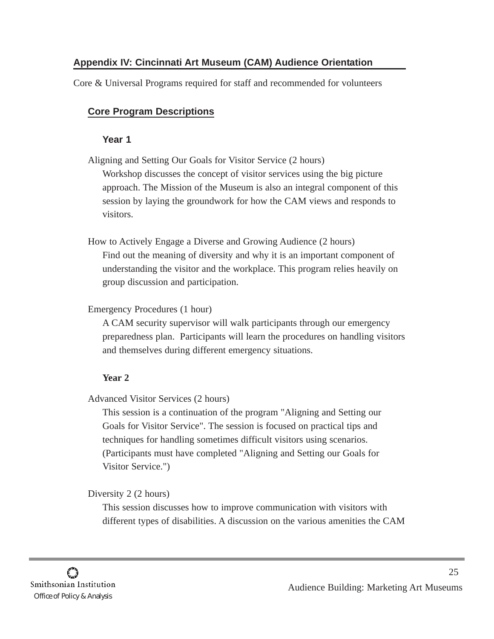## **Appendix IV: Cincinnati Art Museum (CAM) Audience Orientation**

Core & Universal Programs required for staff and recommended for volunteers

### **Core Program Descriptions**

#### **Year 1**

Aligning and Setting Our Goals for Visitor Service (2 hours) Workshop discusses the concept of visitor services using the big picture approach. The Mission of the Museum is also an integral component of this session by laying the groundwork for how the CAM views and responds to visitors.

How to Actively Engage a Diverse and Growing Audience (2 hours) Find out the meaning of diversity and why it is an important component of understanding the visitor and the workplace. This program relies heavily on group discussion and participation.

Emergency Procedures (1 hour)

A CAM security supervisor will walk participants through our emergency preparedness plan. Participants will learn the procedures on handling visitors and themselves during different emergency situations.

### **Year 2**

Advanced Visitor Services (2 hours)

This session is a continuation of the program "Aligning and Setting our Goals for Visitor Service". The session is focused on practical tips and techniques for handling sometimes difficult visitors using scenarios. (Participants must have completed "Aligning and Setting our Goals for Visitor Service.")

#### Diversity 2 (2 hours)

This session discusses how to improve communication with visitors with different types of disabilities. A discussion on the various amenities the CAM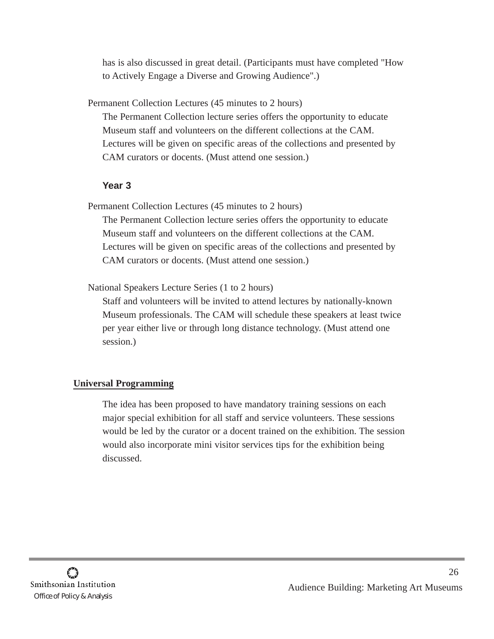has is also discussed in great detail. (Participants must have completed "How to Actively Engage a Diverse and Growing Audience".)

Permanent Collection Lectures (45 minutes to 2 hours)

The Permanent Collection lecture series offers the opportunity to educate Museum staff and volunteers on the different collections at the CAM. Lectures will be given on specific areas of the collections and presented by CAM curators or docents. (Must attend one session.)

### **Year 3**

Permanent Collection Lectures (45 minutes to 2 hours)

The Permanent Collection lecture series offers the opportunity to educate Museum staff and volunteers on the different collections at the CAM. Lectures will be given on specific areas of the collections and presented by CAM curators or docents. (Must attend one session.)

National Speakers Lecture Series (1 to 2 hours)

Staff and volunteers will be invited to attend lectures by nationally-known Museum professionals. The CAM will schedule these speakers at least twice per year either live or through long distance technology. (Must attend one session.)

## **Universal Programming**

The idea has been proposed to have mandatory training sessions on each major special exhibition for all staff and service volunteers. These sessions would be led by the curator or a docent trained on the exhibition. The session would also incorporate mini visitor services tips for the exhibition being discussed.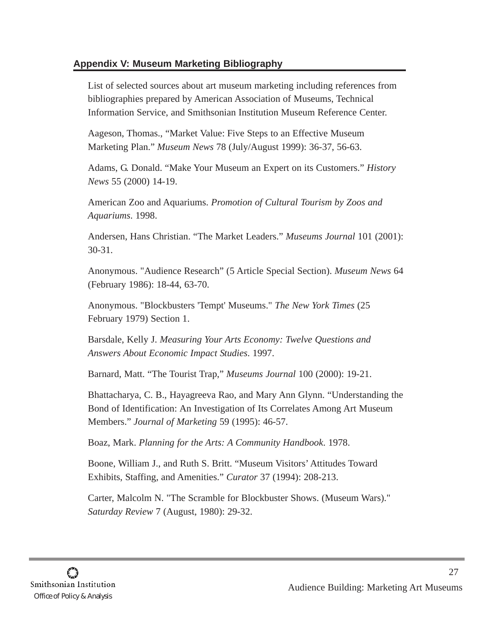### **Appendix V: Museum Marketing Bibliography**

List of selected sources about art museum marketing including references from bibliographies prepared by American Association of Museums, Technical Information Service, and Smithsonian Institution Museum Reference Center.

Aageson, Thomas., "Market Value: Five Steps to an Effective Museum Marketing Plan." *Museum News* 78 (July/August 1999): 36-37, 56-63.

Adams, G. Donald. "Make Your Museum an Expert on its Customers." *History News* 55 (2000) 14-19.

American Zoo and Aquariums. *Promotion of Cultural Tourism by Zoos and Aquariums*. 1998.

Andersen, Hans Christian. "The Market Leaders." *Museums Journal* 101 (2001): 30-31.

Anonymous. "Audience Research" (5 Article Special Section). *Museum News* 64 (February 1986): 18-44, 63-70.

Anonymous. "Blockbusters 'Tempt' Museums." *The New York Times* (25 February 1979) Section 1.

Barsdale, Kelly J. *Measuring Your Arts Economy: Twelve Questions and Answers About Economic Impact Studies*. 1997.

Barnard, Matt. "The Tourist Trap," *Museums Journal* 100 (2000): 19-21.

Bhattacharya, C. B., Hayagreeva Rao, and Mary Ann Glynn. "Understanding the Bond of Identification: An Investigation of Its Correlates Among Art Museum Members." *Journal of Marketing* 59 (1995): 46-57.

Boaz, Mark. *Planning for the Arts: A Community Handbook*. 1978.

Boone, William J., and Ruth S. Britt. "Museum Visitors' Attitudes Toward Exhibits, Staffing, and Amenities." *Curator* 37 (1994): 208-213.

Carter, Malcolm N. "The Scramble for Blockbuster Shows. (Museum Wars)." *Saturday Review* 7 (August, 1980): 29-32.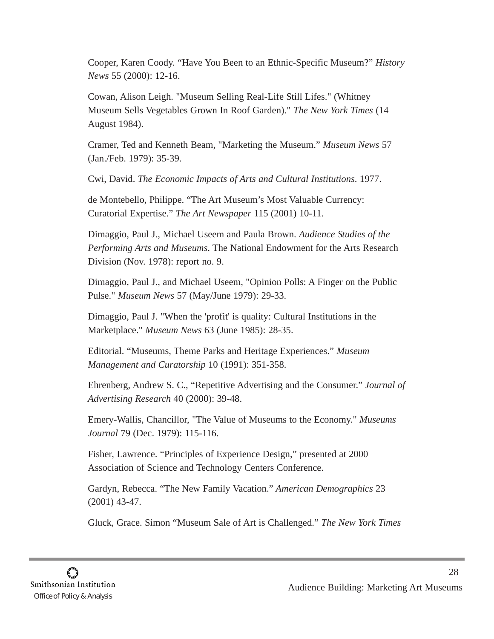Cooper, Karen Coody. "Have You Been to an Ethnic-Specific Museum?" *History News* 55 (2000): 12-16.

Cowan, Alison Leigh. "Museum Selling Real-Life Still Lifes." (Whitney Museum Sells Vegetables Grown In Roof Garden)." *The New York Times* (14 August 1984).

Cramer, Ted and Kenneth Beam, "Marketing the Museum." *Museum News* 57 (Jan./Feb. 1979): 35-39.

Cwi, David. *The Economic Impacts of Arts and Cultural Institutions*. 1977.

de Montebello, Philippe. "The Art Museum's Most Valuable Currency: Curatorial Expertise." *The Art Newspaper* 115 (2001) 10-11.

Dimaggio, Paul J., Michael Useem and Paula Brown. *Audience Studies of the Performing Arts and Museums*. The National Endowment for the Arts Research Division (Nov. 1978): report no. 9.

Dimaggio, Paul J., and Michael Useem, "Opinion Polls: A Finger on the Public Pulse." *Museum News* 57 (May/June 1979): 29-33.

Dimaggio, Paul J. "When the 'profit' is quality: Cultural Institutions in the Marketplace." *Museum News* 63 (June 1985): 28-35.

Editorial. "Museums, Theme Parks and Heritage Experiences." *Museum Management and Curatorship* 10 (1991): 351-358.

Ehrenberg, Andrew S. C., "Repetitive Advertising and the Consumer." *Journal of Advertising Research* 40 (2000): 39-48.

Emery-Wallis, Chancillor, "The Value of Museums to the Economy." *Museums Journal* 79 (Dec. 1979): 115-116.

Fisher, Lawrence. "Principles of Experience Design," presented at 2000 Association of Science and Technology Centers Conference.

Gardyn, Rebecca. "The New Family Vacation." *American Demographics* 23 (2001) 43-47.

Gluck, Grace. Simon "Museum Sale of Art is Challenged." *The New York Times*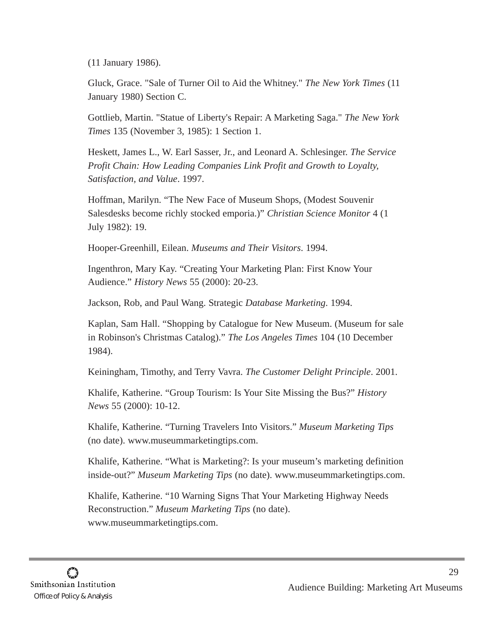(11 January 1986).

Gluck, Grace. "Sale of Turner Oil to Aid the Whitney." *The New York Times* (11 January 1980) Section C.

Gottlieb, Martin. "Statue of Liberty's Repair: A Marketing Saga." *The New York Times* 135 (November 3, 1985): 1 Section 1.

Heskett, James L., W. Earl Sasser, Jr., and Leonard A. Schlesinger. *The Service Profit Chain: How Leading Companies Link Profit and Growth to Loyalty, Satisfaction, and Value*. 1997.

Hoffman, Marilyn. "The New Face of Museum Shops, (Modest Souvenir Salesdesks become richly stocked emporia.)" *Christian Science Monitor* 4 (1 July 1982): 19.

Hooper-Greenhill, Eilean. *Museums and Their Visitors*. 1994.

Ingenthron, Mary Kay. "Creating Your Marketing Plan: First Know Your Audience." *History News* 55 (2000): 20-23.

Jackson, Rob, and Paul Wang. Strategic *Database Marketing*. 1994.

Kaplan, Sam Hall. "Shopping by Catalogue for New Museum. (Museum for sale in Robinson's Christmas Catalog)." *The Los Angeles Times* 104 (10 December 1984).

Keiningham, Timothy, and Terry Vavra. *The Customer Delight Principle*. 2001.

Khalife, Katherine. "Group Tourism: Is Your Site Missing the Bus?" *History News* 55 (2000): 10-12.

Khalife, Katherine. "Turning Travelers Into Visitors." *Museum Marketing Tips* (no date). www.museummarketingtips.com.

Khalife, Katherine. "What is Marketing?: Is your museum's marketing definition inside-out?" *Museum Marketing Tips* (no date). www.museummarketingtips.com.

Khalife, Katherine. "10 Warning Signs That Your Marketing Highway Needs Reconstruction." *Museum Marketing Tips* (no date). www.museummarketingtips.com.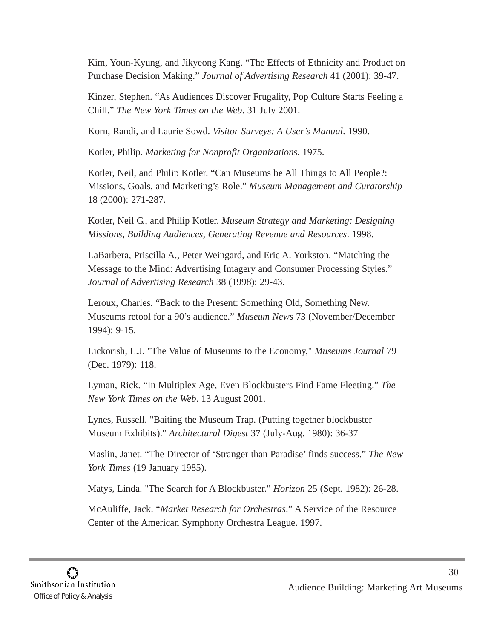Kim, Youn-Kyung, and Jikyeong Kang. "The Effects of Ethnicity and Product on Purchase Decision Making." *Journal of Advertising Research* 41 (2001): 39-47.

Kinzer, Stephen. "As Audiences Discover Frugality, Pop Culture Starts Feeling a Chill." *The New York Times on the Web*. 31 July 2001.

Korn, Randi, and Laurie Sowd. *Visitor Surveys: A User's Manual*. 1990.

Kotler, Philip. *Marketing for Nonprofit Organizations*. 1975.

Kotler, Neil, and Philip Kotler. "Can Museums be All Things to All People?: Missions, Goals, and Marketing's Role." *Museum Management and Curatorship* 18 (2000): 271-287.

Kotler, Neil G., and Philip Kotler. *Museum Strategy and Marketing: Designing Missions, Building Audiences, Generating Revenue and Resources*. 1998.

LaBarbera, Priscilla A., Peter Weingard, and Eric A. Yorkston. "Matching the Message to the Mind: Advertising Imagery and Consumer Processing Styles." *Journal of Advertising Research* 38 (1998): 29-43.

Leroux, Charles. "Back to the Present: Something Old, Something New. Museums retool for a 90's audience." *Museum News* 73 (November/December 1994): 9-15.

Lickorish, L.J. "The Value of Museums to the Economy," *Museums Journal* 79 (Dec. 1979): 118.

Lyman, Rick. "In Multiplex Age, Even Blockbusters Find Fame Fleeting." *The New York Times on the Web*. 13 August 2001.

Lynes, Russell. "Baiting the Museum Trap. (Putting together blockbuster Museum Exhibits)." *Architectural Digest* 37 (July-Aug. 1980): 36-37

Maslin, Janet. "The Director of 'Stranger than Paradise' finds success." *The New York Times* (19 January 1985).

Matys, Linda. "The Search for A Blockbuster." *Horizon* 25 (Sept. 1982): 26-28.

McAuliffe, Jack. "*Market Research for Orchestras*." A Service of the Resource Center of the American Symphony Orchestra League. 1997.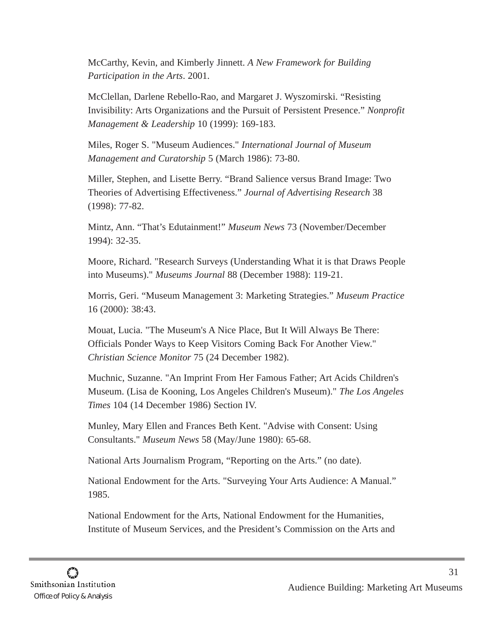McCarthy, Kevin, and Kimberly Jinnett. *A New Framework for Building Participation in the Arts*. 2001.

McClellan, Darlene Rebello-Rao, and Margaret J. Wyszomirski. "Resisting Invisibility: Arts Organizations and the Pursuit of Persistent Presence." *Nonprofit Management & Leadership* 10 (1999): 169-183.

Miles, Roger S. "Museum Audiences." *International Journal of Museum Management and Curatorship* 5 (March 1986): 73-80.

Miller, Stephen, and Lisette Berry. "Brand Salience versus Brand Image: Two Theories of Advertising Effectiveness." *Journal of Advertising Research* 38 (1998): 77-82.

Mintz, Ann. "That's Edutainment!" *Museum News* 73 (November/December 1994): 32-35.

Moore, Richard. "Research Surveys (Understanding What it is that Draws People into Museums)." *Museums Journal* 88 (December 1988): 119-21.

Morris, Geri. "Museum Management 3: Marketing Strategies." *Museum Practice* 16 (2000): 38:43.

Mouat, Lucia. "The Museum's A Nice Place, But It Will Always Be There: Officials Ponder Ways to Keep Visitors Coming Back For Another View." *Christian Science Monitor* 75 (24 December 1982).

Muchnic, Suzanne. "An Imprint From Her Famous Father; Art Acids Children's Museum. (Lisa de Kooning, Los Angeles Children's Museum)." *The Los Angeles Times* 104 (14 December 1986) Section IV.

Munley, Mary Ellen and Frances Beth Kent. "Advise with Consent: Using Consultants." *Museum News* 58 (May/June 1980): 65-68.

National Arts Journalism Program, "Reporting on the Arts." (no date).

National Endowment for the Arts. "Surveying Your Arts Audience: A Manual." 1985.

National Endowment for the Arts, National Endowment for the Humanities, Institute of Museum Services, and the President's Commission on the Arts and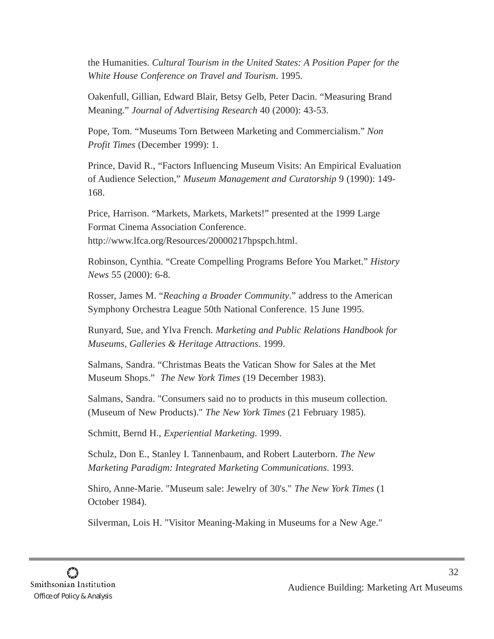the Humanities. *Cultural Tourism in the United States: A Position Paper for the White House Conference on Travel and Tourism*. 1995.

Oakenfull, Gillian, Edward Blair, Betsy Gelb, Peter Dacin. "Measuring Brand Meaning." *Journal of Advertising Research* 40 (2000): 43-53.

Pope, Tom. "Museums Torn Between Marketing and Commercialism." *Non Profit Times* (December 1999): 1.

Prince, David R., "Factors Influencing Museum Visits: An Empirical Evaluation of Audience Selection," *Museum Management and Curatorship* 9 (1990): 149- 168.

Price, Harrison. "Markets, Markets, Markets!" presented at the 1999 Large Format Cinema Association Conference. http://www.lfca.org/Resources/20000217hpspch.html.

Robinson, Cynthia. "Create Compelling Programs Before You Market." *History News* 55 (2000): 6-8.

Rosser, James M. "*Reaching a Broader Community*." address to the American Symphony Orchestra League 50th National Conference. 15 June 1995.

Runyard, Sue, and Ylva French. *Marketing and Public Relations Handbook for Museums, Galleries & Heritage Attractions*. 1999.

Salmans, Sandra. "Christmas Beats the Vatican Show for Sales at the Met Museum Shops." *The New York Times* (19 December 1983).

Salmans, Sandra. "Consumers said no to products in this museum collection. (Museum of New Products)." *The New York Times* (21 February 1985).

Schmitt, Bernd H., *Experiential Marketing*. 1999.

Schulz, Don E., Stanley I. Tannenbaum, and Robert Lauterborn. *The New Marketing Paradigm: Integrated Marketing Communications*. 1993.

Shiro, Anne-Marie. "Museum sale: Jewelry of 30's." *The New York Times* (1 October 1984).

Silverman, Lois H. "Visitor Meaning-Making in Museums for a New Age."